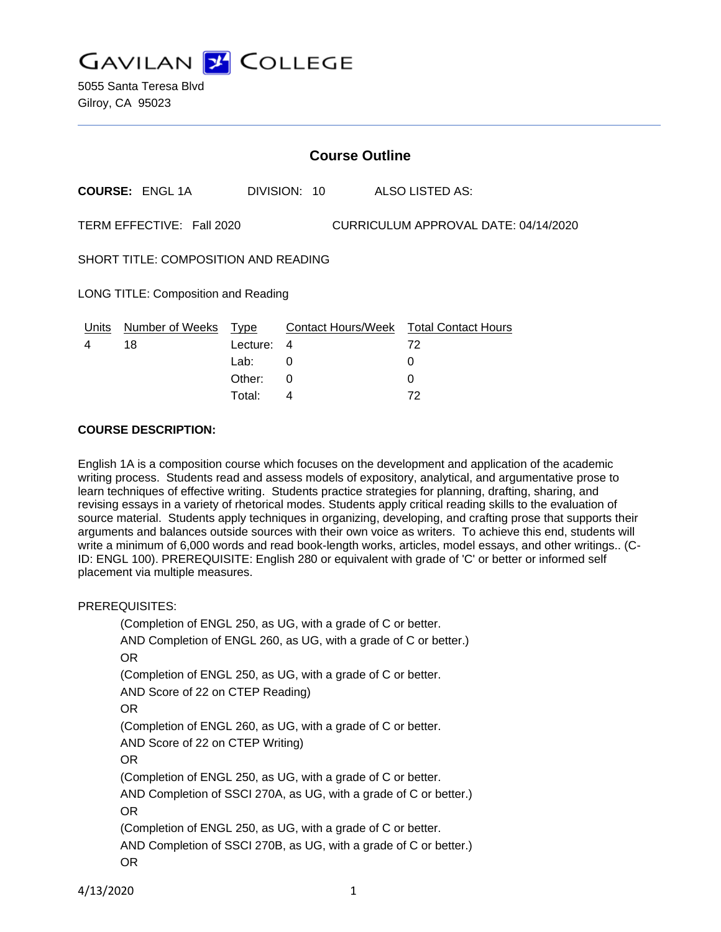**GAVILAN J COLLEGE** 

|                                                                   | <b>Course Outline</b> |                  |              |  |                                              |  |
|-------------------------------------------------------------------|-----------------------|------------------|--------------|--|----------------------------------------------|--|
|                                                                   | <b>COURSE: ENGL1A</b> |                  | DIVISION: 10 |  | ALSO LISTED AS:                              |  |
| TERM EFFECTIVE: Fall 2020<br>CURRICULUM APPROVAL DATE: 04/14/2020 |                       |                  |              |  |                                              |  |
| <b>SHORT TITLE: COMPOSITION AND READING</b>                       |                       |                  |              |  |                                              |  |
| LONG TITLE: Composition and Reading                               |                       |                  |              |  |                                              |  |
| Units<br>4                                                        | Number of Weeks<br>18 | Type<br>Lecture: | 4            |  | Contact Hours/Week Total Contact Hours<br>72 |  |
|                                                                   |                       | Lab:             | 0            |  | 0                                            |  |
|                                                                   |                       | Other:           | 0            |  |                                              |  |

Total: 4 72

#### **COURSE DESCRIPTION:**

English 1A is a composition course which focuses on the development and application of the academic writing process. Students read and assess models of expository, analytical, and argumentative prose to learn techniques of effective writing. Students practice strategies for planning, drafting, sharing, and revising essays in a variety of rhetorical modes. Students apply critical reading skills to the evaluation of source material. Students apply techniques in organizing, developing, and crafting prose that supports their arguments and balances outside sources with their own voice as writers. To achieve this end, students will write a minimum of 6,000 words and read book-length works, articles, model essays, and other writings.. (C-ID: ENGL 100). PREREQUISITE: English 280 or equivalent with grade of 'C' or better or informed self placement via multiple measures.

#### PREREQUISITES:

(Completion of ENGL 250, as UG, with a grade of C or better. AND Completion of ENGL 260, as UG, with a grade of C or better.) OR (Completion of ENGL 250, as UG, with a grade of C or better. AND Score of 22 on CTEP Reading) OR (Completion of ENGL 260, as UG, with a grade of C or better. AND Score of 22 on CTEP Writing) OR (Completion of ENGL 250, as UG, with a grade of C or better. AND Completion of SSCI 270A, as UG, with a grade of C or better.) OR (Completion of ENGL 250, as UG, with a grade of C or better. AND Completion of SSCI 270B, as UG, with a grade of C or better.) OR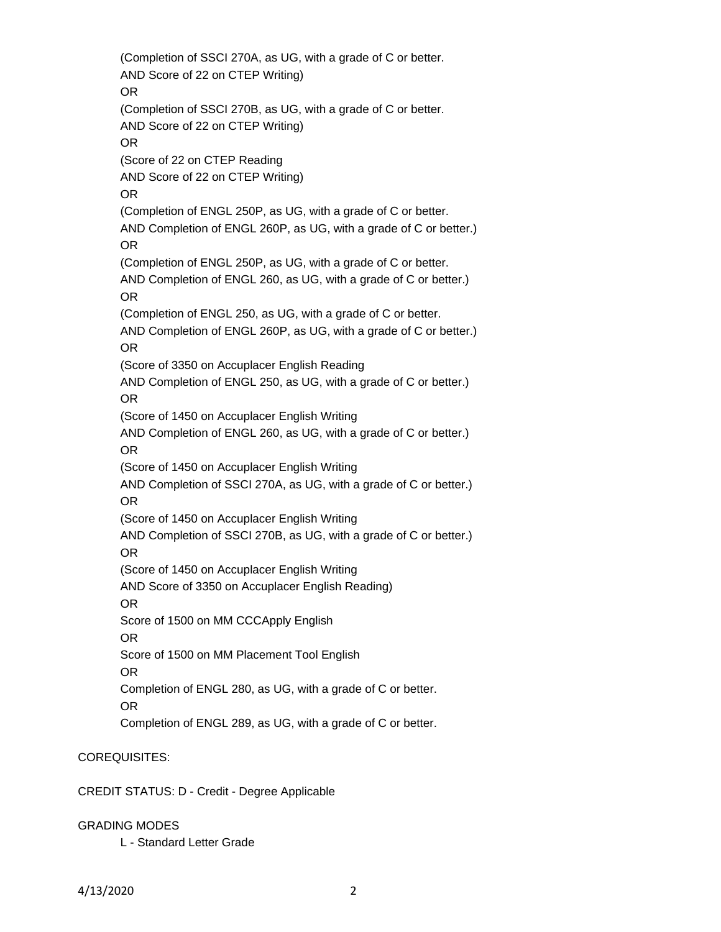(Completion of SSCI 270A, as UG, with a grade of C or better. AND Score of 22 on CTEP Writing) OR (Completion of SSCI 270B, as UG, with a grade of C or better. AND Score of 22 on CTEP Writing) OR (Score of 22 on CTEP Reading AND Score of 22 on CTEP Writing) OR (Completion of ENGL 250P, as UG, with a grade of C or better. AND Completion of ENGL 260P, as UG, with a grade of C or better.) OR (Completion of ENGL 250P, as UG, with a grade of C or better. AND Completion of ENGL 260, as UG, with a grade of C or better.) OR (Completion of ENGL 250, as UG, with a grade of C or better. AND Completion of ENGL 260P, as UG, with a grade of C or better.) OR (Score of 3350 on Accuplacer English Reading AND Completion of ENGL 250, as UG, with a grade of C or better.) OR (Score of 1450 on Accuplacer English Writing AND Completion of ENGL 260, as UG, with a grade of C or better.) OR (Score of 1450 on Accuplacer English Writing AND Completion of SSCI 270A, as UG, with a grade of C or better.) OR (Score of 1450 on Accuplacer English Writing AND Completion of SSCI 270B, as UG, with a grade of C or better.) OR (Score of 1450 on Accuplacer English Writing AND Score of 3350 on Accuplacer English Reading) OR Score of 1500 on MM CCCApply English OR Score of 1500 on MM Placement Tool English OR Completion of ENGL 280, as UG, with a grade of C or better. OR Completion of ENGL 289, as UG, with a grade of C or better.

# COREQUISITES:

CREDIT STATUS: D - Credit - Degree Applicable

# GRADING MODES

L - Standard Letter Grade

4/13/2020 2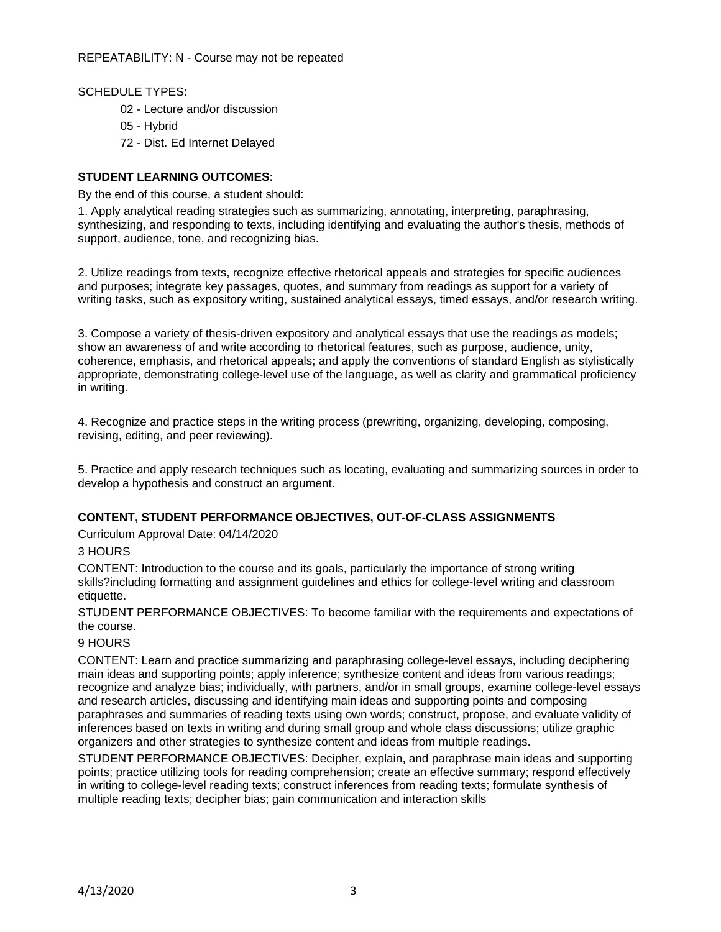SCHEDULE TYPES:

- 02 Lecture and/or discussion
- 05 Hybrid
- 72 Dist. Ed Internet Delayed

# **STUDENT LEARNING OUTCOMES:**

By the end of this course, a student should:

1. Apply analytical reading strategies such as summarizing, annotating, interpreting, paraphrasing, synthesizing, and responding to texts, including identifying and evaluating the author's thesis, methods of support, audience, tone, and recognizing bias.

2. Utilize readings from texts, recognize effective rhetorical appeals and strategies for specific audiences and purposes; integrate key passages, quotes, and summary from readings as support for a variety of writing tasks, such as expository writing, sustained analytical essays, timed essays, and/or research writing.

3. Compose a variety of thesis-driven expository and analytical essays that use the readings as models; show an awareness of and write according to rhetorical features, such as purpose, audience, unity, coherence, emphasis, and rhetorical appeals; and apply the conventions of standard English as stylistically appropriate, demonstrating college-level use of the language, as well as clarity and grammatical proficiency in writing.

4. Recognize and practice steps in the writing process (prewriting, organizing, developing, composing, revising, editing, and peer reviewing).

5. Practice and apply research techniques such as locating, evaluating and summarizing sources in order to develop a hypothesis and construct an argument.

# **CONTENT, STUDENT PERFORMANCE OBJECTIVES, OUT-OF-CLASS ASSIGNMENTS**

Curriculum Approval Date: 04/14/2020

# 3 HOURS

CONTENT: Introduction to the course and its goals, particularly the importance of strong writing skills?including formatting and assignment guidelines and ethics for college-level writing and classroom etiquette.

STUDENT PERFORMANCE OBJECTIVES: To become familiar with the requirements and expectations of the course.

#### 9 HOURS

CONTENT: Learn and practice summarizing and paraphrasing college-level essays, including deciphering main ideas and supporting points; apply inference; synthesize content and ideas from various readings; recognize and analyze bias; individually, with partners, and/or in small groups, examine college-level essays and research articles, discussing and identifying main ideas and supporting points and composing paraphrases and summaries of reading texts using own words; construct, propose, and evaluate validity of inferences based on texts in writing and during small group and whole class discussions; utilize graphic organizers and other strategies to synthesize content and ideas from multiple readings.

STUDENT PERFORMANCE OBJECTIVES: Decipher, explain, and paraphrase main ideas and supporting points; practice utilizing tools for reading comprehension; create an effective summary; respond effectively in writing to college-level reading texts; construct inferences from reading texts; formulate synthesis of multiple reading texts; decipher bias; gain communication and interaction skills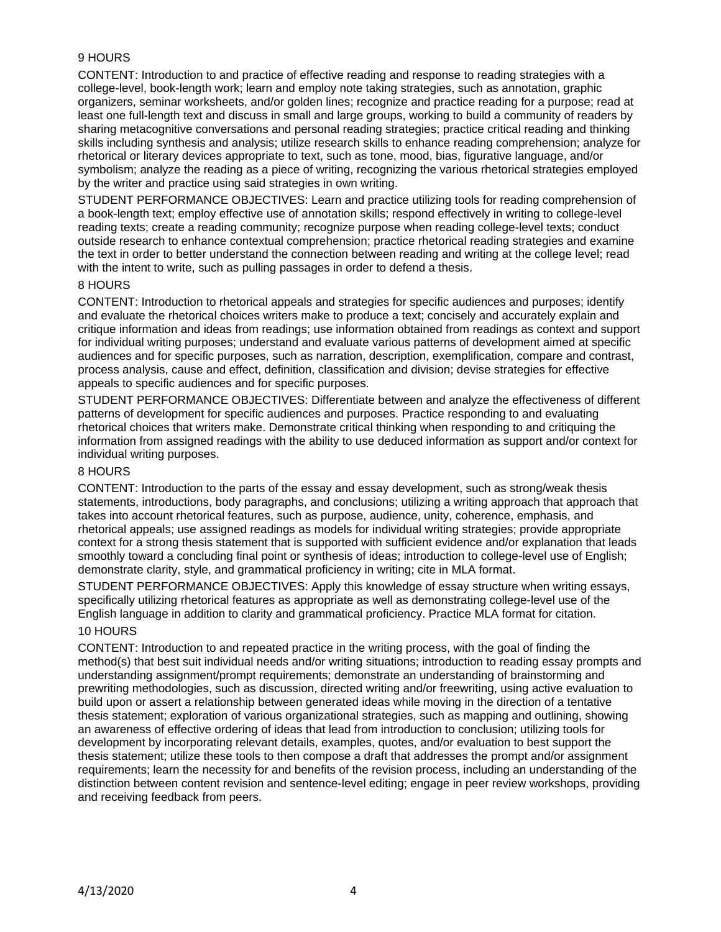# 9 HOURS

CONTENT: Introduction to and practice of effective reading and response to reading strategies with a college-level, book-length work; learn and employ note taking strategies, such as annotation, graphic organizers, seminar worksheets, and/or golden lines; recognize and practice reading for a purpose; read at least one full-length text and discuss in small and large groups, working to build a community of readers by sharing metacognitive conversations and personal reading strategies; practice critical reading and thinking skills including synthesis and analysis; utilize research skills to enhance reading comprehension; analyze for rhetorical or literary devices appropriate to text, such as tone, mood, bias, figurative language, and/or symbolism; analyze the reading as a piece of writing, recognizing the various rhetorical strategies employed by the writer and practice using said strategies in own writing.

STUDENT PERFORMANCE OBJECTIVES: Learn and practice utilizing tools for reading comprehension of a book-length text; employ effective use of annotation skills; respond effectively in writing to college-level reading texts; create a reading community; recognize purpose when reading college-level texts; conduct outside research to enhance contextual comprehension; practice rhetorical reading strategies and examine the text in order to better understand the connection between reading and writing at the college level; read with the intent to write, such as pulling passages in order to defend a thesis.

### 8 HOURS

CONTENT: Introduction to rhetorical appeals and strategies for specific audiences and purposes; identify and evaluate the rhetorical choices writers make to produce a text; concisely and accurately explain and critique information and ideas from readings; use information obtained from readings as context and support for individual writing purposes; understand and evaluate various patterns of development aimed at specific audiences and for specific purposes, such as narration, description, exemplification, compare and contrast, process analysis, cause and effect, definition, classification and division; devise strategies for effective appeals to specific audiences and for specific purposes.

STUDENT PERFORMANCE OBJECTIVES: Differentiate between and analyze the effectiveness of different patterns of development for specific audiences and purposes. Practice responding to and evaluating rhetorical choices that writers make. Demonstrate critical thinking when responding to and critiquing the information from assigned readings with the ability to use deduced information as support and/or context for individual writing purposes.

#### 8 HOURS

CONTENT: Introduction to the parts of the essay and essay development, such as strong/weak thesis statements, introductions, body paragraphs, and conclusions; utilizing a writing approach that approach that takes into account rhetorical features, such as purpose, audience, unity, coherence, emphasis, and rhetorical appeals; use assigned readings as models for individual writing strategies; provide appropriate context for a strong thesis statement that is supported with sufficient evidence and/or explanation that leads smoothly toward a concluding final point or synthesis of ideas; introduction to college-level use of English; demonstrate clarity, style, and grammatical proficiency in writing; cite in MLA format.

STUDENT PERFORMANCE OBJECTIVES: Apply this knowledge of essay structure when writing essays, specifically utilizing rhetorical features as appropriate as well as demonstrating college-level use of the English language in addition to clarity and grammatical proficiency. Practice MLA format for citation.

# 10 HOURS

CONTENT: Introduction to and repeated practice in the writing process, with the goal of finding the method(s) that best suit individual needs and/or writing situations; introduction to reading essay prompts and understanding assignment/prompt requirements; demonstrate an understanding of brainstorming and prewriting methodologies, such as discussion, directed writing and/or freewriting, using active evaluation to build upon or assert a relationship between generated ideas while moving in the direction of a tentative thesis statement; exploration of various organizational strategies, such as mapping and outlining, showing an awareness of effective ordering of ideas that lead from introduction to conclusion; utilizing tools for development by incorporating relevant details, examples, quotes, and/or evaluation to best support the thesis statement; utilize these tools to then compose a draft that addresses the prompt and/or assignment requirements; learn the necessity for and benefits of the revision process, including an understanding of the distinction between content revision and sentence-level editing; engage in peer review workshops, providing and receiving feedback from peers.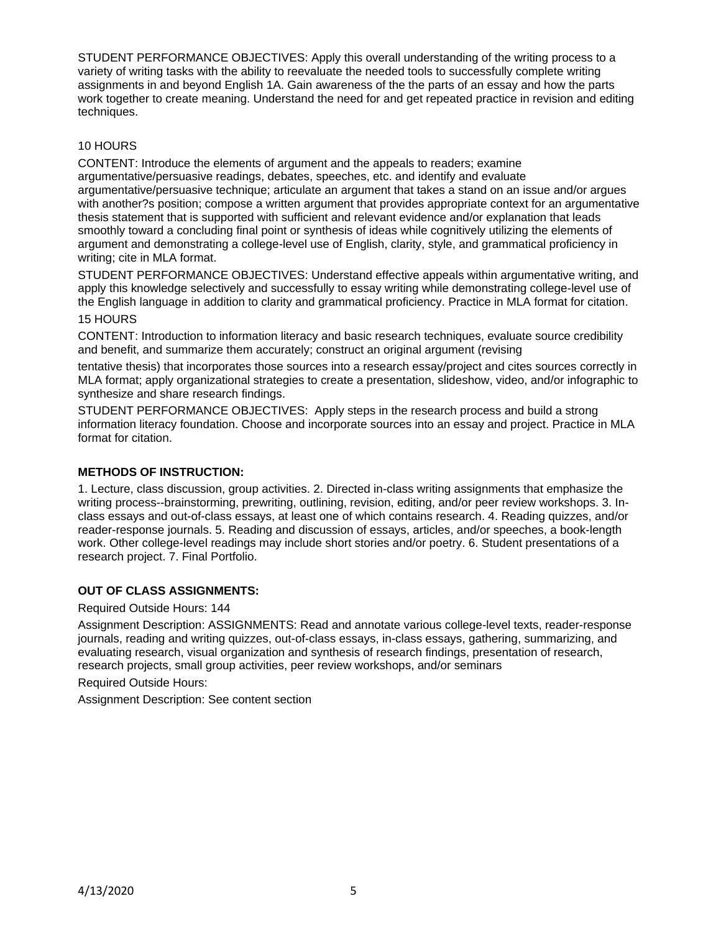STUDENT PERFORMANCE OBJECTIVES: Apply this overall understanding of the writing process to a variety of writing tasks with the ability to reevaluate the needed tools to successfully complete writing assignments in and beyond English 1A. Gain awareness of the the parts of an essay and how the parts work together to create meaning. Understand the need for and get repeated practice in revision and editing techniques.

# 10 HOURS

CONTENT: Introduce the elements of argument and the appeals to readers; examine argumentative/persuasive readings, debates, speeches, etc. and identify and evaluate argumentative/persuasive technique; articulate an argument that takes a stand on an issue and/or argues with another?s position; compose a written argument that provides appropriate context for an argumentative thesis statement that is supported with sufficient and relevant evidence and/or explanation that leads smoothly toward a concluding final point or synthesis of ideas while cognitively utilizing the elements of argument and demonstrating a college-level use of English, clarity, style, and grammatical proficiency in writing; cite in MLA format.

STUDENT PERFORMANCE OBJECTIVES: Understand effective appeals within argumentative writing, and apply this knowledge selectively and successfully to essay writing while demonstrating college-level use of the English language in addition to clarity and grammatical proficiency. Practice in MLA format for citation. 15 HOURS

CONTENT: Introduction to information literacy and basic research techniques, evaluate source credibility and benefit, and summarize them accurately; construct an original argument (revising

tentative thesis) that incorporates those sources into a research essay/project and cites sources correctly in MLA format; apply organizational strategies to create a presentation, slideshow, video, and/or infographic to synthesize and share research findings.

STUDENT PERFORMANCE OBJECTIVES: Apply steps in the research process and build a strong information literacy foundation. Choose and incorporate sources into an essay and project. Practice in MLA format for citation.

# **METHODS OF INSTRUCTION:**

1. Lecture, class discussion, group activities. 2. Directed in-class writing assignments that emphasize the writing process--brainstorming, prewriting, outlining, revision, editing, and/or peer review workshops. 3. Inclass essays and out-of-class essays, at least one of which contains research. 4. Reading quizzes, and/or reader-response journals. 5. Reading and discussion of essays, articles, and/or speeches, a book-length work. Other college-level readings may include short stories and/or poetry. 6. Student presentations of a research project. 7. Final Portfolio.

# **OUT OF CLASS ASSIGNMENTS:**

Required Outside Hours: 144

Assignment Description: ASSIGNMENTS: Read and annotate various college-level texts, reader-response journals, reading and writing quizzes, out-of-class essays, in-class essays, gathering, summarizing, and evaluating research, visual organization and synthesis of research findings, presentation of research, research projects, small group activities, peer review workshops, and/or seminars

Required Outside Hours:

Assignment Description: See content section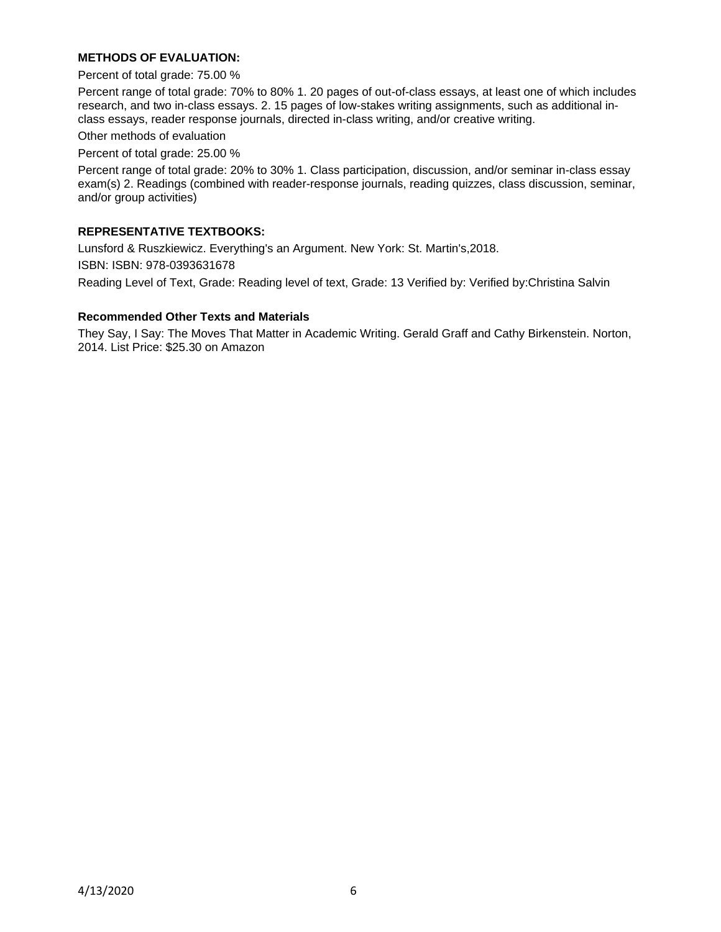# **METHODS OF EVALUATION:**

Percent of total grade: 75.00 %

Percent range of total grade: 70% to 80% 1. 20 pages of out-of-class essays, at least one of which includes research, and two in-class essays. 2. 15 pages of low-stakes writing assignments, such as additional inclass essays, reader response journals, directed in-class writing, and/or creative writing.

Other methods of evaluation

Percent of total grade: 25.00 %

Percent range of total grade: 20% to 30% 1. Class participation, discussion, and/or seminar in-class essay exam(s) 2. Readings (combined with reader-response journals, reading quizzes, class discussion, seminar, and/or group activities)

#### **REPRESENTATIVE TEXTBOOKS:**

Lunsford & Ruszkiewicz. Everything's an Argument. New York: St. Martin's,2018. ISBN: ISBN: 978-0393631678 Reading Level of Text, Grade: Reading level of text, Grade: 13 Verified by: Verified by:Christina Salvin

#### **Recommended Other Texts and Materials**

They Say, I Say: The Moves That Matter in Academic Writing. Gerald Graff and Cathy Birkenstein. Norton, 2014. List Price: \$25.30 on Amazon